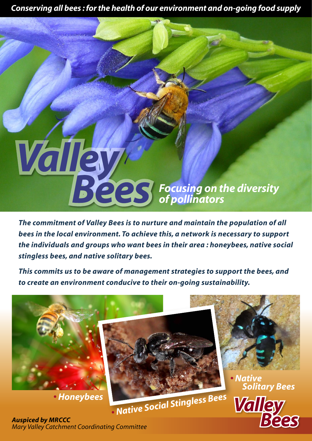*Conserving all bees : for the health of our environment and on-going food supply*

# *Focusing on the diversity of pollinators*

*The commitment of Valley Bees is to nurture and maintain the population of all bees in the local environment. To achieve this, a network is necessary to support the individuals and groups who want bees in their area : honeybees, native social stingless bees, and native solitary bees.*

*This commits us to be aware of management strategies to support the bees, and to create an environment conducive to their on-going sustainability.*



*Auspiced by MRCCC Mary Valley Catchment Coordinating Committee*